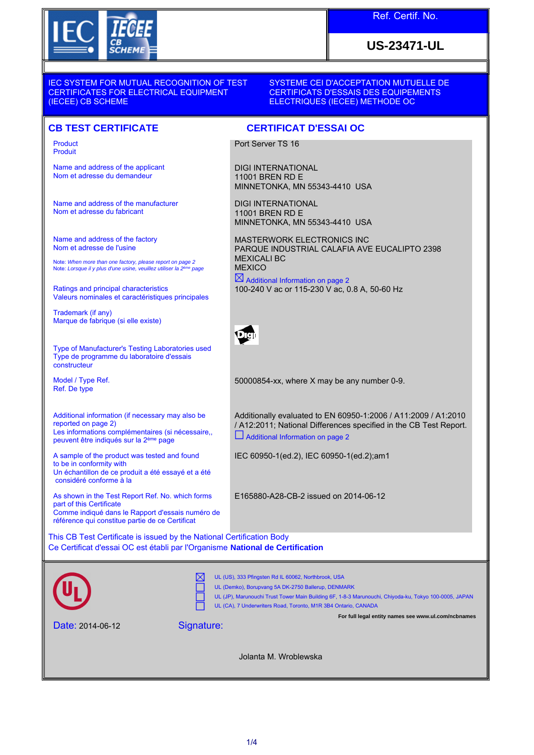

# **US-23471-UL**

IEC SYSTEM FOR MUTUAL RECOGNITION OF TEST CERTIFICATES FOR ELECTRICAL EQUIPMENT (IECEE) CB SCHEME

SYSTEME CEI D'ACCEPTATION MUTUELLE DE CERTIFICATS D'ESSAIS DES EQUIPEMENTS ELECTRIQUES (IECEE) METHODE OC

#### **CB TEST CERTIFICATE CERTIFICAT D'ESSAI OC**

Product Produit

Name and address of the applicant Nom et adresse du demandeur

Name and address of the manufacturer Nom et adresse du fabricant

Name and address of the factory Nom et adresse de l'usine

Note: *When more than one factory, please report on page 2*<br>Note: *Lorsque il y plus d'une usine, veuillez utiliser la 2<sup>ème</sup> page* 

Ratings and principal characteristics Valeurs nominales et caractéristiques principales

Trademark (if any) Marque de fabrique (si elle existe)

Type of Manufacturer's Testing Laboratories used Type de programme du laboratoire d'essais constructeur

Model / Type Ref. Ref. De type

Additional information (if necessary may also be reported on page 2) Les informations complémentaires (si nécessaire,, peuvent être indiqués sur la 2ème page

A sample of the product was tested and found to be in conformity with Un échantillon de ce produit a été essayé et a été considéré conforme à la

As shown in the Test Report Ref. No. which forms part of this Certificate Comme indiqué dans le Rapport d'essais numéro de référence qui constitue partie de ce Certificat

This CB Test Certificate is issued by the National Certification Body Ce Certificat d'essai OC est établi par l'Organisme **National de Certification**

UL (US), 333 Pfingsten Rd IL 60062, Northbrook, USA ΙX UL (Demko), Borupvang 5A DK-2750 Ballerup, DENMARK UL (JP), Marunouchi Trust Tower Main Building 6F, 1-8-3 Marunouchi, Chiyoda-ku, Tokyo 100-0005, JAPAN UL (CA), 7 Underwriters Road, Toronto, M1R 3B4 Ontario, CANADA **For full legal entity names see www.ul.com/ncbnames** Date: 2014-06-12 Signature:

Jolanta M. Wroblewska

11001 BREN RD E MINNETONKA, MN 55343-4410 USA MASTERWORK ELECTRONICS INC PARQUE INDUSTRIAL CALAFIA AVE EUCALIPTO 2398

Port Server TS 16

DIGI INTERNATIONAL 11001 BREN RD E

DIGI INTERNATIONAL

MINNETONKA, MN 55343-4410 USA

MEXICALI BC **MEXICO**  $\boxtimes$  Additional Information on page 2

100-240 V ac or 115-230 V ac, 0.8 A, 50-60 Hz



50000854-xx, where X may be any number 0-9.

Additionally evaluated to EN 60950-1:2006 / A11:2009 / A1:2010 / A12:2011; National Differences specified in the CB Test Report. Additional Information on page 2

IEC 60950-1(ed.2), IEC 60950-1(ed.2);am1

E165880-A28-CB-2 issued on 2014-06-12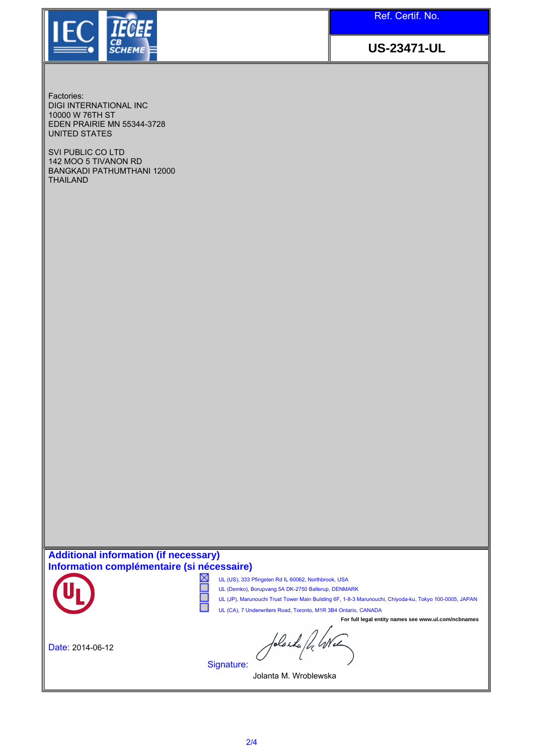

**US-23471-UL**

Factories: DIGI INTERNATIONAL INC 10000 W 76TH ST EDEN PRAIRIE MN 55344-3728 UNITED STATES

SVI PUBLIC CO LTD 142 MOO 5 TIVANON RD BANGKADI PATHUMTHANI 12000 THAILAND

#### **Additional information (if necessary) Information complémentaire (si nécessaire)**



- ⊠ UL (US), 333 Pfingsten Rd IL 60062, Northbrook, USA
	- UL (Demko), Borupvang 5A DK-2750 Ballerup, DENMARK
	- UL (JP), Marunouchi Trust Tower Main Building 6F, 1-8-3 Marunouchi, Chiyoda-ku, Tokyo 100-0005, JAPAN
	- UL (CA), 7 Underwriters Road, Toronto, M1R 3B4 Ontario, CANADA

Date: 2014-06-12

**For full legal entity names see www.ul.com/ncbnames**

folaska fd, Wee

Jolanta M. Wroblewska

Signature:

Г г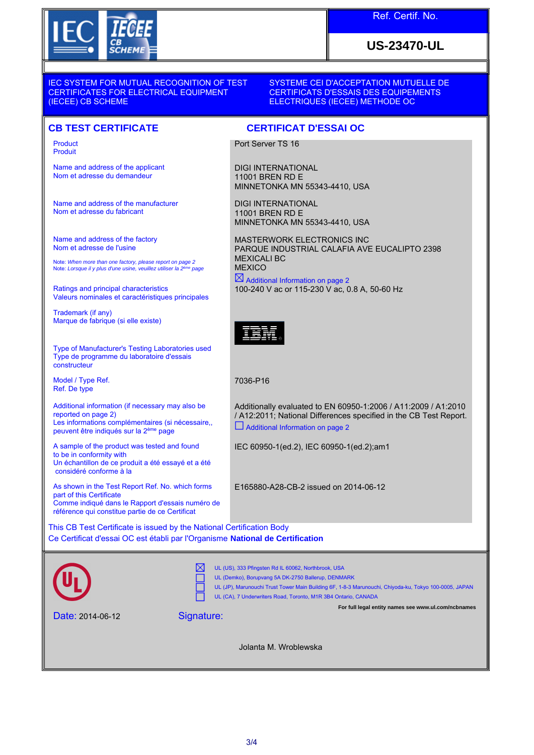

# **US-23470-UL**

IEC SYSTEM FOR MUTUAL RECOGNITION OF TEST CERTIFICATES FOR ELECTRICAL EQUIPMENT (IECEE) CB SCHEME

SYSTEME CEI D'ACCEPTATION MUTUELLE DE CERTIFICATS D'ESSAIS DES EQUIPEMENTS ELECTRIQUES (IECEE) METHODE OC

#### **CB TEST CERTIFICATE CERTIFICAT D'ESSAI OC**

Product Produit

Name and address of the applicant Nom et adresse du demandeur

Name and address of the manufacturer Nom et adresse du fabricant

Name and address of the factory Nom et adresse de l'usine

Note: *When more than one factory, please report on page 2*<br>Note: *Lorsque il y plus d'une usine, veuillez utiliser la 2<sup>ème</sup> page* 

Ratings and principal characteristics Valeurs nominales et caractéristiques principales

Trademark (if any) Marque de fabrique (si elle existe)

Type of Manufacturer's Testing Laboratories used Type de programme du laboratoire d'essais constructeur

Model / Type Ref. Ref. De type

Additional information (if necessary may also be reported on page 2) Les informations complémentaires (si nécessaire,, peuvent être indiqués sur la 2ème page

A sample of the product was tested and found to be in conformity with Un échantillon de ce produit a été essayé et a été considéré conforme à la

As shown in the Test Report Ref. No. which forms part of this Certificate Comme indiqué dans le Rapport d'essais numéro de référence qui constitue partie de ce Certificat

Port Server TS 16

DIGI INTERNATIONAL 11001 BREN RD E MINNETONKA MN 55343-4410, USA

DIGI INTERNATIONAL 11001 BREN RD E MINNETONKA MN 55343-4410, USA

MASTERWORK ELECTRONICS INC PARQUE INDUSTRIAL CALAFIA AVE EUCALIPTO 2398 MEXICALI BC **MEXICO** 

 $\boxtimes$  Additional Information on page 2 100-240 V ac or 115-230 V ac, 0.8 A, 50-60 Hz



7036-P16

Additionally evaluated to EN 60950-1:2006 / A11:2009 / A1:2010 / A12:2011; National Differences specified in the CB Test Report. Additional Information on page 2

IEC 60950-1(ed.2), IEC 60950-1(ed.2);am1

E165880-A28-CB-2 issued on 2014-06-12

This CB Test Certificate is issued by the National Certification Body Ce Certificat d'essai OC est établi par l'Organisme **National de Certification**

UL (US), 333 Pfingsten Rd IL 60062, Northbrook, USA м UL (Demko), Borupvang 5A DK-2750 Ballerup, DENMARK UL (JP), Marunouchi Trust Tower Main Building 6F, 1-8-3 Marunouchi, Chiyoda-ku, Tokyo 100-0005, JAPAN UL (CA), 7 Underwriters Road, Toronto, M1R 3B4 Ontario, CANADA **For full legal entity names see www.ul.com/ncbnames** Signature: Date: 2014-06-12 Jolanta M. Wroblewska